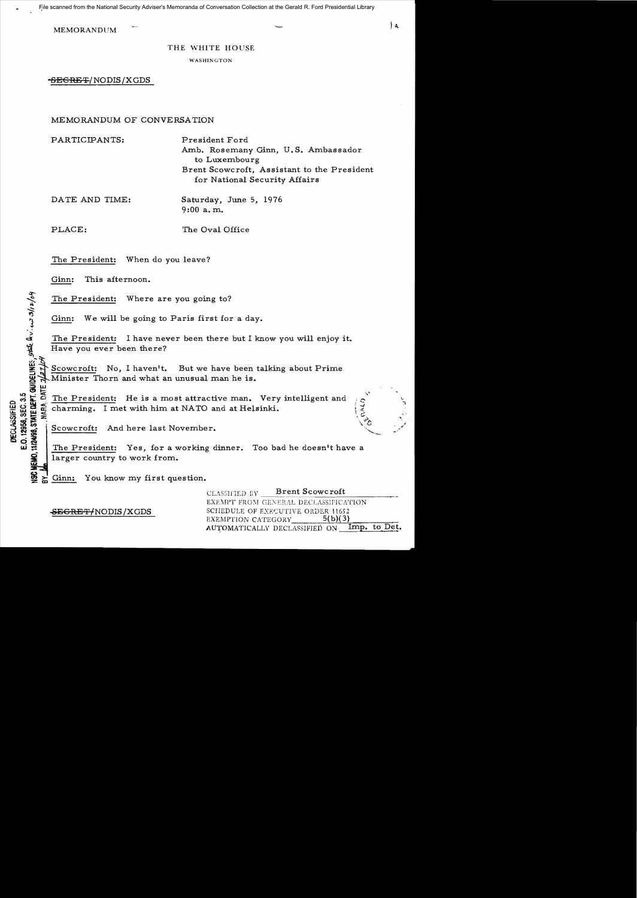MEMORANDUM

THE WHITE HOUSE

WASHINGTON

-SEGRET/NODIS/XGDS

# MEMORANDUM OF CONVERSATION

PARTICIPANTS: President Ford

Amb. Rosemany Ginn, U. S. Ambassador to Luxembourg Brent Scowcroft, Assistant to the President for National Security Affairs

DATE AND TIME: Saturday, June 5, 1976

9:00 a. m.

PLACE: The Oval Office

.<br>.<br>.

**DEC<br>E.O.12<br>E.O.138** 

l£1:

The President: When do you leave?

Ginn: This afternoon.

The President: Where are you going to?

Ginn: We will be going to Paris first for a day.

The President: I have never been there but I know you will enjoy it. Have you ever been there?

Scowcroft: No, I haven't. But we have been talking about Prime<br>Minister Thorn and what an unusual man he is. Minister Thorn and what an unusual man he is.<br> $\frac{\mu}{\epsilon}$  The President: He is a most attractive man.

LO TO THE President: He is a most attractive man. Very intelligent and<br>
LOC TO THE Charming. I met with him at NATO and at Helsinki.<br>
SO THE SECTION OF THE PRESIDENT: And here last November.<br>
The President: Yes for a work charming. I met with him at NATO and at Helsinki.  $\vec{x}$  ,  $\vec{x}$  ,  $\vec{c}$  ,  $\vec{c}$  ,  $\vec{c}$  ,  $\vec{c}$  ,  $\vec{c}$  ,  $\vec{c}$  ,  $\vec{c}$  ,  $\vec{c}$  ,  $\vec{c}$  ,  $\vec{c}$  ,  $\vec{c}$  ,  $\vec{c}$  ,  $\vec{c}$  ,  $\vec{c}$  ,  $\vec{c}$  ,  $\vec{c}$  ,  $\vec{c}$  ,  $\vec{c}$  ,  $\vec{c}$  ,  $\vec{c}$  ,  $\$ 

Scowcroft: And here last November.

The President: Yes, for a working dinner. Too bad he doesn't have a larger country to work from.

Ginn: You know my first question.

CLASSIFIED GY Brent Scowcroft EXEMPT FROM GENERAL DECLASSIFICATION **SEGRET/NODIS/XGDS** SCHEDULE OF EXECUTIVE ORDER 11652<br>EXEMPTION CATEGORY 5(b)(3) EXEMPTION CATEGORY AUTOMATICALLY DECLASSIFIED ON Imp. to Det.

0.ALD

'j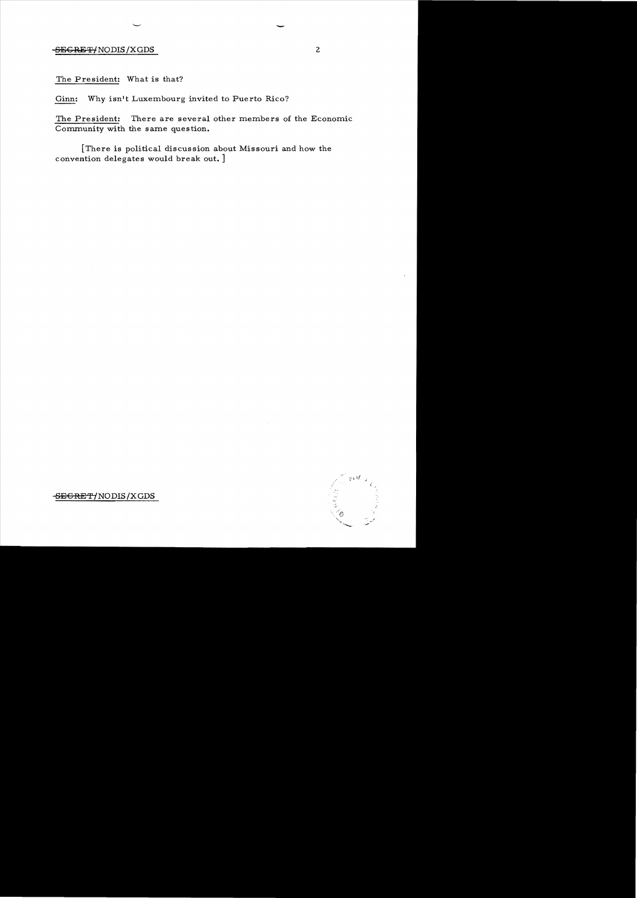# SECRET/NODIS/XGDS 2

The President: What is that?

Ginn: Why isn't Luxembourg invited to Puerto Rico?

The President: There are several other members of the Economic Community with the same question.

[There is political discussion about Missouri and how the convention delegates would break out. ]

SEGRET/NODIS/XGDS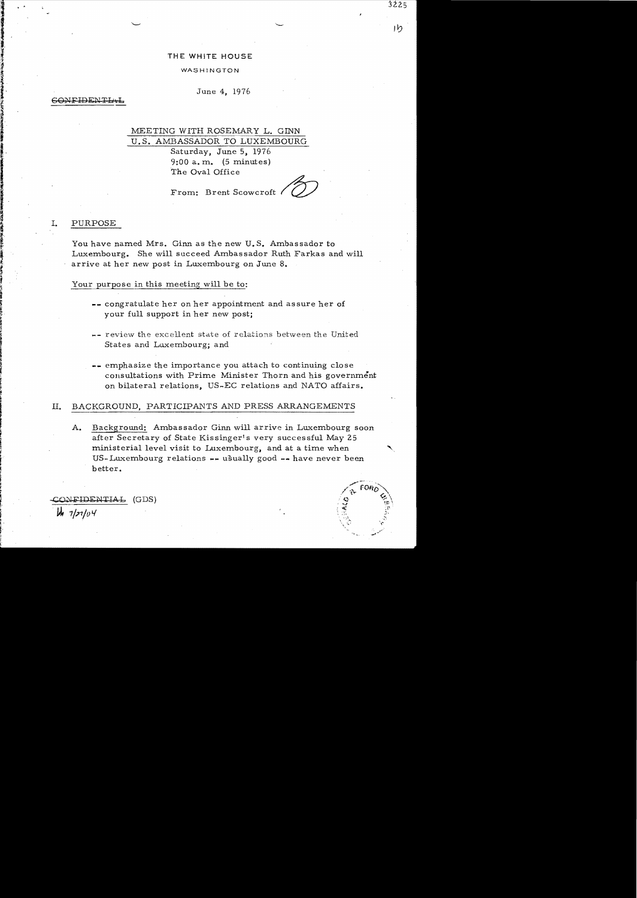### THE WHITE HOUSE

#### WASHINGTON

June 4, 1976

#### CONFIDENTI

# MEETING WITH ROSEMARY L. GINN U.S. AMBASSADOR TO LUXEMBOURG

Saturday, June 5, 1976  $9:00$  a.m.  $(5 \text{ minutes})$ The Oval Office

From: Brent Scowcroft

# I. PURPOSE

You have named Mrs. Ginn as the new U. S. Ambassador to Luxembourg. She will succeed Ambassador Ruth Farkas and will arrive at her new post in Luxembourg on June 8.

#### Your purpose in this meeting will be to:

- **--** congratulate her on her appointment and assure her of your full support in her new post;
- **--** review the excellent state of relations between the United States and Luxembourg; and
- **--** emphasize the importance you attach to continuing close consultations with Prime Minister Thorn and his government on bilateral relations, US-EC relations and NATO affairs.

## II. BACKGROUND, PARTICIPANTS AND PRESS ARRANGEMENTS

A. Background: Ambassador Ginn will arrive in Luxembourg soon after Secretary of State Kissinger's very successful May 25 ministerial level visit to Luxembourg, and at a time when US-Luxembourg relations **....** usually good **\_..** have never been better.

-COi>iFIDENTIP..:b (GDS)  $44.7/27/04$ 

,~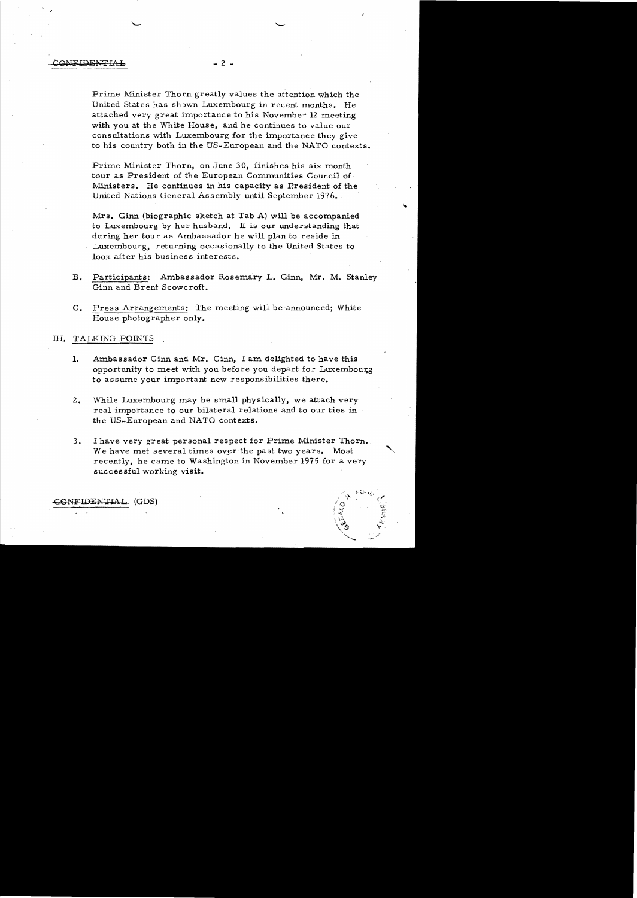Prime Minister Thorn greatly values the attention which the United States has shown Luxembourg in recent months. He attached very great importance to his November 12 meeting with you at the White House, and he continues to value our consultations with Luxembourg for the importance they give to his country both in the US-European and the NATO contexts.

Prime Minister Thorn, on June 30, finishes his six month tour as President of the European Communities Council of Ministers. He continues in his capacity as Rresident of the United Nations General Assembly until September 1976.

Mrs. Ginn (biographic sketch at Tab A) will be accompanied to Luxembourg by her husband. It is our understanding that during her tour as Ambassador he will plan to reside in Luxembourg, returning occasionally to the United States to look after his business interests.

- B. Participants: Ambassador Rosemary L. Ginn, Mr. M. Stanley Ginn and Brent Scowcroft.
- C. Press Arrangements: The meeting will be announced; White House photographer only.

#### III. TALKING POINTS

- **1.**  Ambassador Ginn and Mr. Ginn, I am delighted to have this opportunity to meet with you before you depart for Luxembourg to assume your important new responsibilities there.
- 2. While Luxembourg may be small physically, we attach very real importance to our bilateral relations and to our ties in the US-European and NATO contexts.
- 3. I have very great personal respect for Prime Minister Thorn. We have met several times over the past two years. Most recently, he came to Washington in November 1975 for a very successful working visit.

/ f ~)j If.'~'

..,:' " ~l~'

 $\,$  GONFIDENTIAL (GDS)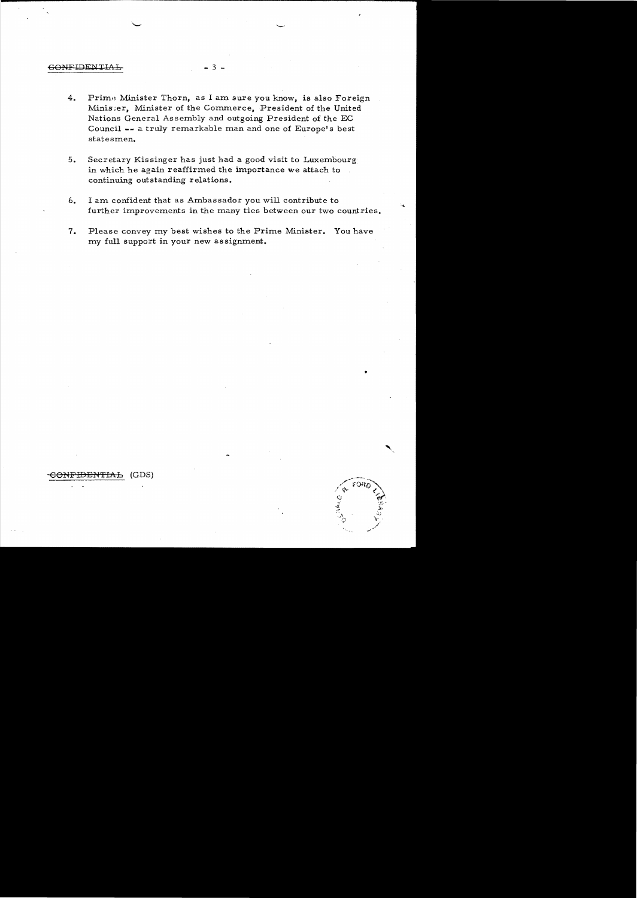### CONFIDENTIAL

- Prime Minister Thorn, as I am sure you know, is also Foreign  $4.$ Minister, Minister of the Commerce, President of the United Nations General Assembly and outgoing President of the EC Council -- a truly remarkable man and one of Europe's best statesmen.
- $5.$ Secretary Kissinger has just had a good visit to Luxembourg in which he again reaffirmed the importance we attach to continuing outstanding relations.
- $6.$ I am confident that as Ambassador you will contribute to further improvements in the many ties between our two countries.
- $7.$ Please convey my best wishes to the Prime Minister. You have my full support in your new assignment.

#### <del>)ENTIAL</del> (GDS) <del>GONF</del>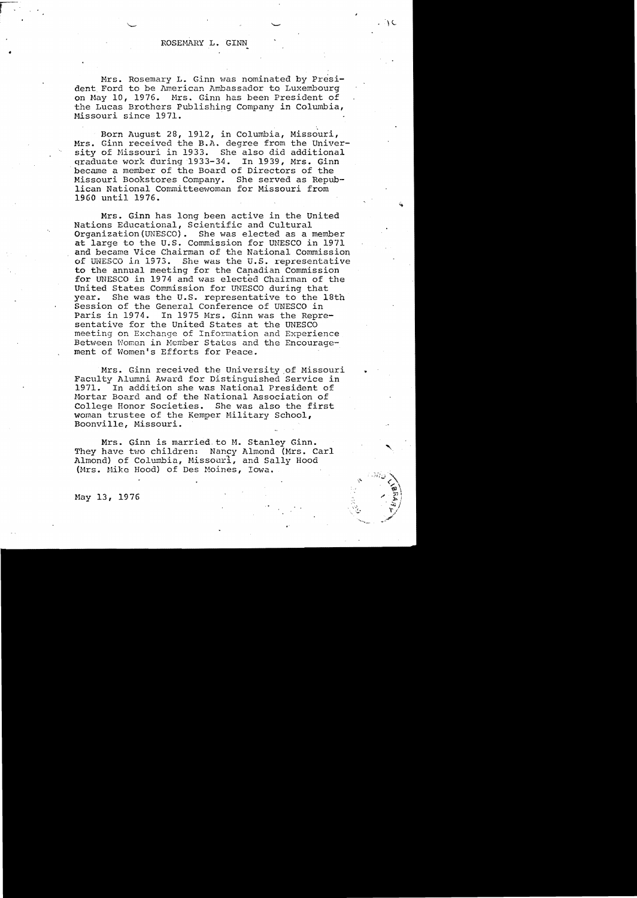$\setminus$ 

..

Mrs. Rosemary L. Ginn was nominated by President Ford to be American Ambassador to Luxembourg on May 10, 1976. Mrs. Ginn has been President of the Lucas Brothers Publishing Company in Columbia, Missouri since 1971.

Born August 28, 1912, in Columbia, Missouri, Mrs. Ginn received the B.A. degree from the University of Missouri in 1933. She also did additional qraduate work during 1933-34. In 1939, Mrs. Ginn became a member of the Board of Directors of the Missouri Bookstores Company. She served as Republican National Committeewoman for Missouri from 1960 until 1976.

Mrs. Ginn has long been active in the United Nations Educational, Scientific and Cultural Organization(UNESCO). She was elected as a member at large to the U.S. Commission for UNESCO in 1971 and became Vice Chairman of the National Commission<br>of UNESCO in 1973. She was the U.S. representative She was the U.S. representative to the annual meeting for the Canadian Commission for UNESCO in 1974 and was elected Chairman of the United States Commission for UNESCO during that year. She was the U.S. representative to the 18th Session of the General Conference of UNESCO in Paris in 1974. In 1975 Mrs. Ginn was the Representative for the United States at the UNESCO meeting on Exchange of Information and Experience Between Women in Member States and the Encouragement of Women's Efforts for Peace.

Mrs. Ginn received the University.of Missouri Faculty Alumni Award for Distinguished Service in 1971. In addition she was National President of Mortar Board and of the National Association of College Honor Societies. She was also the first College Honor Societies. woman trustee of the Kemper Military School, Boonville, Missouri.

Mrs. Ginn is married to M. Stanley Ginn. They have two children: Nancy Almond (Mrs. Carl Almond) of Columbia, MissourI, and Sally Hood (Mrs. Mike Hood) of Des Moines, Iowa.



 $\bullet$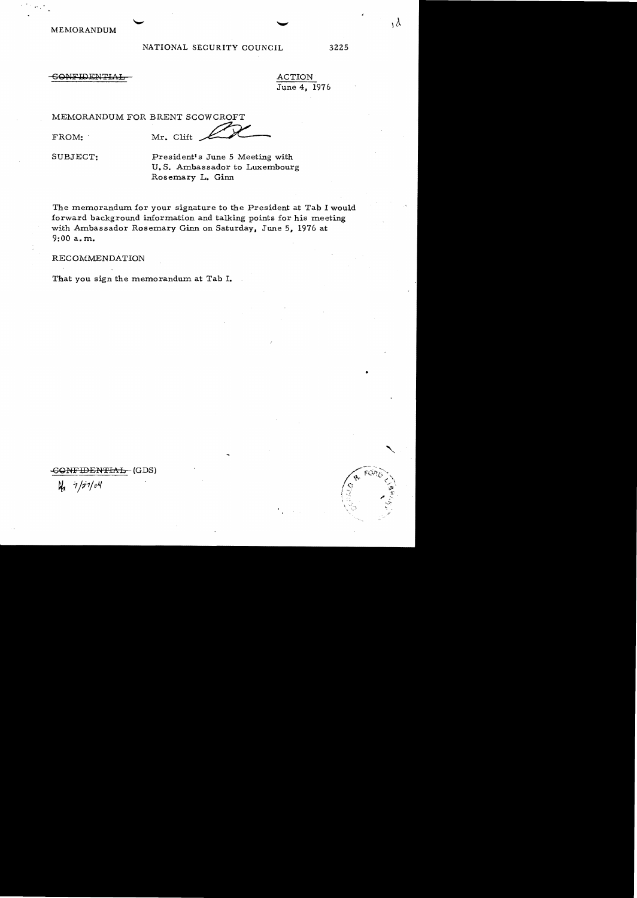MEMORANDUM

# NATIONAL SECURITY COUNCIL 3225

 $\lambda$ 

# **CONFIDENTIAL**

 $\frac{\text{ACTION}}{\text{June 4, 1976}}$ 

MEMORANDUM FOR BRENT SCOWCROFT

FROM: Mr. Clift June 4, 1976<br>NT SCOWCROFT<br>Clift # 2006 (1)

SUBJECT:

President's June 5 Meeting with U. S. Ambassador to Luxembourg Rosemary L. Ginn

The memorandum for your signature to the President at Tab I would forward background information and talking points for his meeting with Ambassador Rosemary Ginn on Saturday, June 5, 1976 at 9:00 a. m.

RECOMMENDATION

That you sign the memorandum at Tab I.

SONFIDENTIAL-- (GDS)

**th**  $7/7/04$ 

..